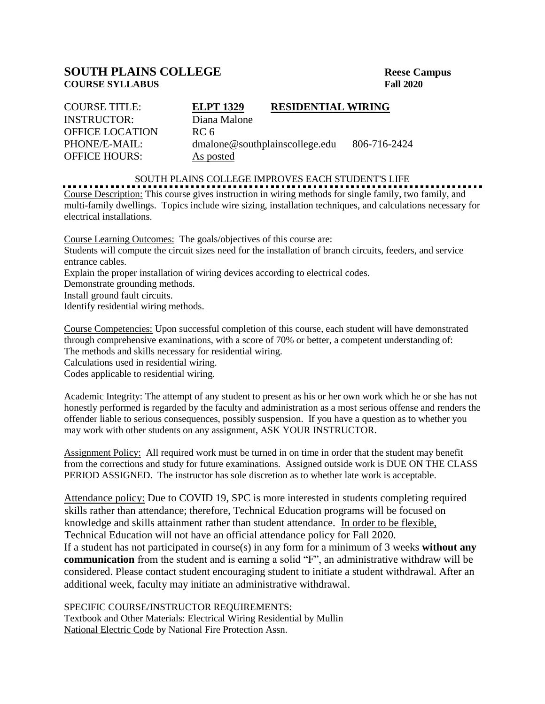## **SOUTH PLAINS COLLEGE** Reese Campus<br>
Reese Campus<br>
Rall 2020 **COURSE SYLLABUS**

| <b>COURSE TITLE:</b>   | <b>ELPT 1329</b>               | <b>RESIDENTIAL WIRING</b> |              |
|------------------------|--------------------------------|---------------------------|--------------|
| <b>INSTRUCTOR:</b>     | Diana Malone                   |                           |              |
| <b>OFFICE LOCATION</b> | RC 6                           |                           |              |
| PHONE/E-MAIL:          | dmalone@southplainscollege.edu |                           | 806-716-2424 |
| <b>OFFICE HOURS:</b>   | As posted                      |                           |              |

## SOUTH PLAINS COLLEGE IMPROVES EACH STUDENT'S LIFE

Course Description: This course gives instruction in wiring methods for single family, two family, and multi-family dwellings. Topics include wire sizing, installation techniques, and calculations necessary for electrical installations.

Course Learning Outcomes: The goals/objectives of this course are: Students will compute the circuit sizes need for the installation of branch circuits, feeders, and service entrance cables. Explain the proper installation of wiring devices according to electrical codes. Demonstrate grounding methods. Install ground fault circuits. Identify residential wiring methods.

Course Competencies: Upon successful completion of this course, each student will have demonstrated through comprehensive examinations, with a score of 70% or better, a competent understanding of: The methods and skills necessary for residential wiring.

Calculations used in residential wiring.

Codes applicable to residential wiring.

Academic Integrity: The attempt of any student to present as his or her own work which he or she has not honestly performed is regarded by the faculty and administration as a most serious offense and renders the offender liable to serious consequences, possibly suspension. If you have a question as to whether you may work with other students on any assignment, ASK YOUR INSTRUCTOR.

Assignment Policy: All required work must be turned in on time in order that the student may benefit from the corrections and study for future examinations. Assigned outside work is DUE ON THE CLASS PERIOD ASSIGNED. The instructor has sole discretion as to whether late work is acceptable.

Attendance policy: Due to COVID 19, SPC is more interested in students completing required skills rather than attendance; therefore, Technical Education programs will be focused on knowledge and skills attainment rather than student attendance. In order to be flexible, Technical Education will not have an official attendance policy for Fall 2020.

If a student has not participated in course(s) in any form for a minimum of 3 weeks **without any communication** from the student and is earning a solid "F", an administrative withdraw will be considered. Please contact student encouraging student to initiate a student withdrawal. After an additional week, faculty may initiate an administrative withdrawal.

## SPECIFIC COURSE/INSTRUCTOR REQUIREMENTS:

Textbook and Other Materials: Electrical Wiring Residential by Mullin National Electric Code by National Fire Protection Assn.